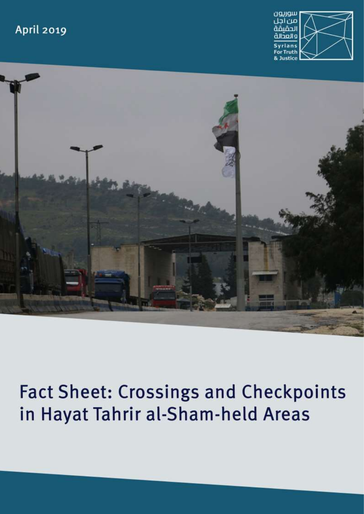### **April 2019**





# **Fact Sheet: Crossings and Checkpoints** in Hayat Tahrir al-Sham-held Areas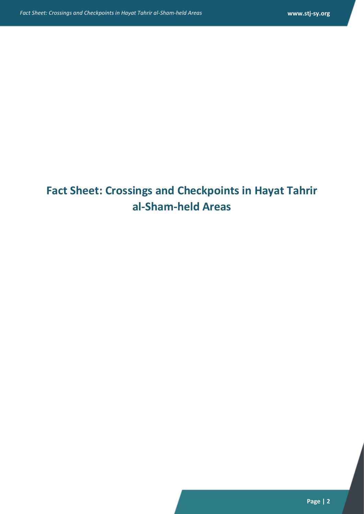## **Fact Sheet: Crossings and Checkpoints in Hayat Tahrir al-Sham-held Areas**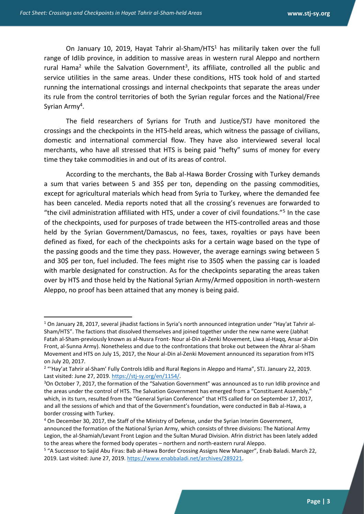**.** 

On January 10, 2019, Hayat Tahrir al-Sham/HTS<sup>1</sup> has militarily taken over the full range of Idlib province, in addition to massive areas in western rural Aleppo and northern rural Hama<sup>2</sup> while the Salvation Government<sup>3</sup>, its affiliate, controlled all the public and service utilities in the same areas. Under these conditions, HTS took hold of and started running the international crossings and internal checkpoints that separate the areas under its rule from the control territories of both the Syrian regular forces and the National/Free Syrian Army<sup>4</sup>.

The field researchers of Syrians for Truth and Justice/STJ have monitored the crossings and the checkpoints in the HTS-held areas, which witness the passage of civilians, domestic and international commercial flow. They have also interviewed several local merchants, who have all stressed that HTS is being paid "hefty" sums of money for every time they take commodities in and out of its areas of control.

According to the merchants, the Bab al-Hawa Border Crossing with Turkey demands a sum that varies between 5 and 35\$ per ton, depending on the passing commodities, except for agricultural materials which head from Syria to Turkey, where the demanded fee has been canceled. Media reports noted that all the crossing's revenues are forwarded to "the civil administration affiliated with HTS, under a cover of civil foundations."<sup>5</sup> In the case of the checkpoints, used for purposes of trade between the HTS-controlled areas and those held by the Syrian Government/Damascus, no fees, taxes, royalties or pays have been defined as fixed, for each of the checkpoints asks for a certain wage based on the type of the passing goods and the time they pass. However, the average earnings swing between 5 and 30\$ per ton, fuel included. The fees might rise to 350\$ when the passing car is loaded with marble designated for construction. As for the checkpoints separating the areas taken over by HTS and those held by the National Syrian Army/Armed opposition in north-western Aleppo, no proof has been attained that any money is being paid.

 $1$  On January 28, 2017, several jihadist factions in Syria's north announced integration under "Hay'at Tahrir al-Sham/HTS". The factions that dissolved themselves and joined together under the new name were (Jabhat Fatah al-Sham-previously known as al-Nusra Front- Nour al-Din al-Zenki Movement, Liwa al-Haqq, Ansar al-Din Front, al-Sunna Army). Nonetheless and due to the confrontations that broke out between the Ahrar al-Sham Movement and HTS on July 15, 2017, the Nour al-Din al-Zenki Movement announced its separation from HTS on July 20, 2017.

<sup>&</sup>lt;sup>2</sup> "'Hay'at Tahrir al-Sham' Fully Controls Idlib and Rural Regions in Aleppo and Hama", STJ. January 22, 2019. Last visited: June 27, 2019. [https://stj-sy.org/en/1154/.](https://stj-sy.org/en/1154/)

<sup>&</sup>lt;sup>3</sup>On October 7, 2017, the formation of the "Salvation Government" was announced as to run Idlib province and the areas under the control of HTS. The Salvation Government has emerged from a "Constituent Assembly," which, in its turn, resulted from the "General Syrian Conference" that HTS called for on September 17, 2017, and all the sessions of which and that of the Government's foundation, were conducted in Bab al-Hawa, a border crossing with Turkey.

<sup>4</sup> On December 30, 2017, the Staff of the Ministry of Defense, under the Syrian Interim Government, announced the formation of the National Syrian Army, which consists of three divisions: The National Army Legion, the al-Shamiah/Levant Front Legion and the Sultan Murad Division. Afrin district has been lately added to the areas where the formed body operates – northern and north-eastern rural Aleppo.

<sup>&</sup>lt;sup>5</sup> "A Successor to Sajid Abu Firas: Bab al-Hawa Border Crossing Assigns New Manager", Enab Baladi. March 22, 2019. Last visited: June 27, 2019. [https://www.enabbaladi.net/archives/289221.](https://www.enabbaladi.net/archives/289221)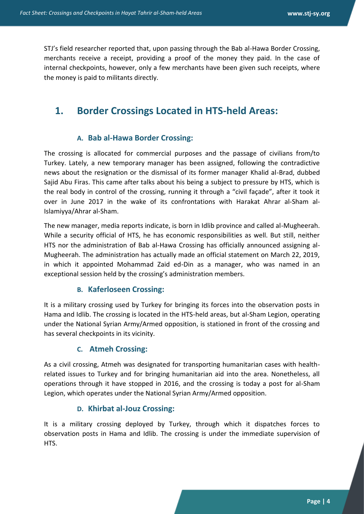STJ's field researcher reported that, upon passing through the Bab al-Hawa Border Crossing, merchants receive a receipt, providing a proof of the money they paid. In the case of internal checkpoints, however, only a few merchants have been given such receipts, where the money is paid to militants directly.

### **1. Border Crossings Located in HTS-held Areas:**

#### **A. Bab al-Hawa Border Crossing:**

The crossing is allocated for commercial purposes and the passage of civilians from/to Turkey. Lately, a new temporary manager has been assigned, following the contradictive news about the resignation or the dismissal of its former manager Khalid al-Brad, dubbed Sajid Abu Firas. This came after talks about his being a subject to pressure by HTS, which is the real body in control of the crossing, running it through a "civil façade", after it took it over in June 2017 in the wake of its confrontations with Harakat Ahrar al-Sham al-Islamiyya/Ahrar al-Sham.

The new manager, media reports indicate, is born in Idlib province and called al-Mugheerah. While a security official of HTS, he has economic responsibilities as well. But still, neither HTS nor the administration of Bab al-Hawa Crossing has officially announced assigning al-Mugheerah. The administration has actually made an official statement on March 22, 2019, in which it appointed Mohammad Zaid ed-Din as a manager, who was named in an exceptional session held by the crossing's administration members.

#### **B. Kaferloseen Crossing:**

It is a military crossing used by Turkey for bringing its forces into the observation posts in Hama and Idlib. The crossing is located in the HTS-held areas, but al-Sham Legion, operating under the National Syrian Army/Armed opposition, is stationed in front of the crossing and has several checkpoints in its vicinity.

#### **C. Atmeh Crossing:**

As a civil crossing, Atmeh was designated for transporting humanitarian cases with healthrelated issues to Turkey and for bringing humanitarian aid into the area. Nonetheless, all operations through it have stopped in 2016, and the crossing is today a post for al-Sham Legion, which operates under the National Syrian Army/Armed opposition.

#### **D. Khirbat al-Jouz Crossing:**

It is a military crossing deployed by Turkey, through which it dispatches forces to observation posts in Hama and Idlib. The crossing is under the immediate supervision of HTS.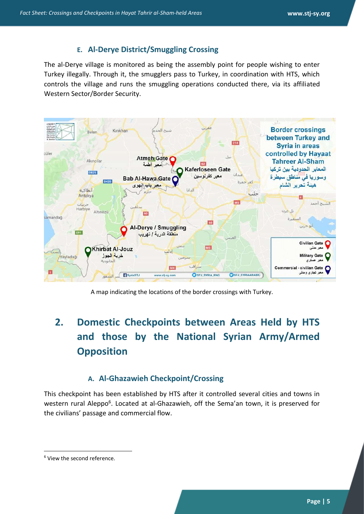#### **E. Al-Derye District/Smuggling Crossing**

The al-Derye village is monitored as being the assembly point for people wishing to enter Turkey illegally. Through it, the smugglers pass to Turkey, in coordination with HTS, which controls the village and runs the smuggling operations conducted there, via its affiliated Western Sector/Border Security.



A map indicating the locations of the border crossings with Turkey.

### **2. Domestic Checkpoints between Areas Held by HTS and those by the National Syrian Army/Armed Opposition**

### **A. Al-Ghazawieh Checkpoint/Crossing**

This checkpoint has been established by HTS after it controlled several cities and towns in western rural Aleppo<sup>6</sup>. Located at al-Ghazawieh, off the Sema'an town, it is preserved for the civilians' passage and commercial flow.

1

<sup>6</sup> View the second reference.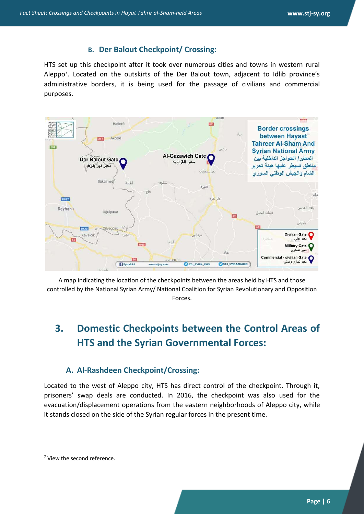### **B. Der Balout Checkpoint/ Crossing:**

HTS set up this checkpoint after it took over numerous cities and towns in western rural Aleppo<sup>7</sup>. Located on the outskirts of the Der Balout town, adjacent to Idlib province's administrative borders, it is being used for the passage of civilians and commercial purposes.



A map indicating the location of the checkpoints between the areas held by HTS and those controlled by the National Syrian Army/ National Coalition for Syrian Revolutionary and Opposition Forces.

### **3. Domestic Checkpoints between the Control Areas of HTS and the Syrian Governmental Forces:**

### **A. Al-Rashdeen Checkpoint/Crossing:**

Located to the west of Aleppo city, HTS has direct control of the checkpoint. Through it, prisoners' swap deals are conducted. In 2016, the checkpoint was also used for the evacuation/displacement operations from the eastern neighborhoods of Aleppo city, while it stands closed on the side of the Syrian regular forces in the present time.

1

<sup>7</sup> View the second reference.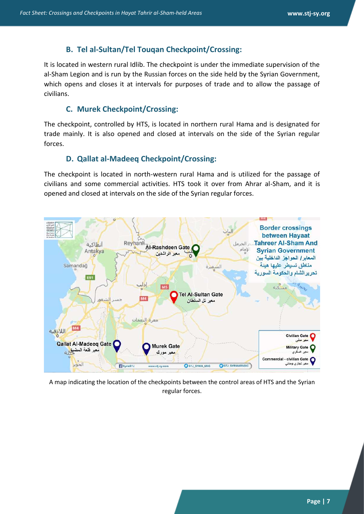### **B. Tel al-Sultan/Tel Touqan Checkpoint/Crossing:**

It is located in western rural Idlib. The checkpoint is under the immediate supervision of the al-Sham Legion and is run by the Russian forces on the side held by the Syrian Government, which opens and closes it at intervals for purposes of trade and to allow the passage of civilians.

### **C. Murek Checkpoint/Crossing:**

The checkpoint, controlled by HTS, is located in northern rural Hama and is designated for trade mainly. It is also opened and closed at intervals on the side of the Syrian regular forces.

### **D. Qallat al-Madeeq Checkpoint/Crossing:**

The checkpoint is located in north-western rural Hama and is utilized for the passage of civilians and some commercial activities. HTS took it over from Ahrar al-Sham, and it is opened and closed at intervals on the side of the Syrian regular forces.



A map indicating the location of the checkpoints between the control areas of HTS and the Syrian regular forces.